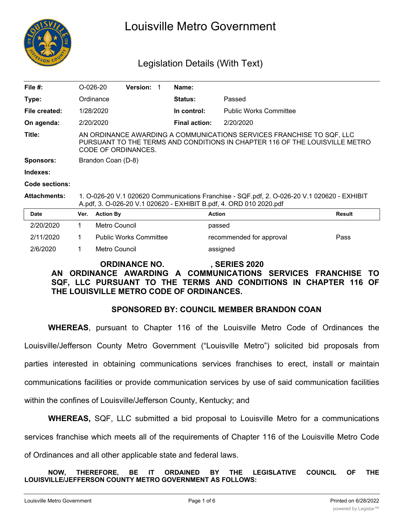

# Louisville Metro Government

## Legislation Details (With Text)

| File $#$ :          |      | $O-026-20$                                                                                                                                                                  | <b>Version:</b>               | 1 | Name:                |                                             |  |                                 |
|---------------------|------|-----------------------------------------------------------------------------------------------------------------------------------------------------------------------------|-------------------------------|---|----------------------|---------------------------------------------|--|---------------------------------|
| Type:               |      | Ordinance                                                                                                                                                                   |                               |   | Status:              | Passed                                      |  |                                 |
| File created:       |      | 1/28/2020                                                                                                                                                                   |                               |   | In control:          | <b>Public Works Committee</b>               |  |                                 |
| On agenda:          |      | 2/20/2020                                                                                                                                                                   |                               |   | <b>Final action:</b> | 2/20/2020                                   |  |                                 |
| Title:              |      | AN ORDINANCE AWARDING A COMMUNICATIONS SERVICES FRANCHISE TO SQF, LLC<br>PURSUANT TO THE TERMS AND CONDITIONS IN CHAPTER 116 OF THE LOUISVILLE METRO<br>CODE OF ORDINANCES. |                               |   |                      |                                             |  |                                 |
| <b>Sponsors:</b>    |      | Brandon Coan (D-8)                                                                                                                                                          |                               |   |                      |                                             |  |                                 |
| Indexes:            |      |                                                                                                                                                                             |                               |   |                      |                                             |  |                                 |
| Code sections:      |      |                                                                                                                                                                             |                               |   |                      |                                             |  |                                 |
| <b>Attachments:</b> |      | 1. O-026-20 V.1 020620 Communications Franchise - SQF.pdf, 2. O-026-20 V.1 020620 - EXHIBIT<br>A.pdf, 3. O-026-20 V.1 020620 - EXHIBIT B.pdf, 4. ORD 010 2020.pdf           |                               |   |                      |                                             |  |                                 |
| <b>Date</b>         | Ver. | <b>Action By</b>                                                                                                                                                            |                               |   |                      | <b>Action</b>                               |  | <b>Result</b>                   |
| 2/20/2020           | 1    | Metro Council                                                                                                                                                               |                               |   |                      | passed                                      |  |                                 |
| 2/11/2020           | 1    |                                                                                                                                                                             | <b>Public Works Committee</b> |   |                      | recommended for approval<br>Pass            |  |                                 |
| 2/6/2020            | 1    | Metro Council                                                                                                                                                               |                               |   |                      | assigned                                    |  |                                 |
| AN                  |      | <b>ORDINANCE AWARDING</b>                                                                                                                                                   | <b>ORDINANCE NO.</b>          |   | A                    | <b>SERIES 2020</b><br><b>COMMUNICATIONS</b> |  | <b>SERVICES FRANCHISE</b><br>TO |

## **SQF, LLC PURSUANT TO THE TERMS AND CONDITIONS IN CHAPTER 116 OF THE LOUISVILLE METRO CODE OF ORDINANCES.**

#### **SPONSORED BY: COUNCIL MEMBER BRANDON COAN**

**WHEREAS**, pursuant to Chapter 116 of the Louisville Metro Code of Ordinances the Louisville/Jefferson County Metro Government ("Louisville Metro") solicited bid proposals from parties interested in obtaining communications services franchises to erect, install or maintain communications facilities or provide communication services by use of said communication facilities within the confines of Louisville/Jefferson County, Kentucky; and

**WHEREAS,** SQF, LLC submitted a bid proposal to Louisville Metro for a communications

services franchise which meets all of the requirements of Chapter 116 of the Louisville Metro Code

of Ordinances and all other applicable state and federal laws.

#### **NOW, THEREFORE, BE IT ORDAINED BY THE LEGISLATIVE COUNCIL OF THE LOUISVILLE/JEFFERSON COUNTY METRO GOVERNMENT AS FOLLOWS:**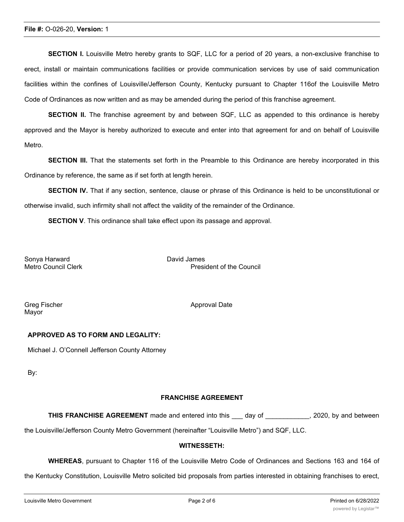**SECTION I.** Louisville Metro hereby grants to SQF, LLC for a period of 20 years, a non-exclusive franchise to erect, install or maintain communications facilities or provide communication services by use of said communication facilities within the confines of Louisville/Jefferson County, Kentucky pursuant to Chapter 116of the Louisville Metro Code of Ordinances as now written and as may be amended during the period of this franchise agreement.

**SECTION II.** The franchise agreement by and between SQF, LLC as appended to this ordinance is hereby approved and the Mayor is hereby authorized to execute and enter into that agreement for and on behalf of Louisville Metro.

**SECTION III.** That the statements set forth in the Preamble to this Ordinance are hereby incorporated in this Ordinance by reference, the same as if set forth at length herein.

**SECTION IV.** That if any section, sentence, clause or phrase of this Ordinance is held to be unconstitutional or otherwise invalid, such infirmity shall not affect the validity of the remainder of the Ordinance.

**SECTION V**. This ordinance shall take effect upon its passage and approval.

Sonya Harward **David James** 

Metro Council Clerk **President of the Council** President of the Council

Mayor

Greg Fischer **Approval Date** 

#### **APPROVED AS TO FORM AND LEGALITY:**

Michael J. O'Connell Jefferson County Attorney

By:

#### **FRANCHISE AGREEMENT**

**THIS FRANCHISE AGREEMENT** made and entered into this \_\_\_ day of \_\_\_\_\_\_\_\_\_\_\_\_, 2020, by and between

the Louisville/Jefferson County Metro Government (hereinafter "Louisville Metro") and SQF, LLC.

#### **WITNESSETH:**

**WHEREAS**, pursuant to Chapter 116 of the Louisville Metro Code of Ordinances and Sections 163 and 164 of

the Kentucky Constitution, Louisville Metro solicited bid proposals from parties interested in obtaining franchises to erect,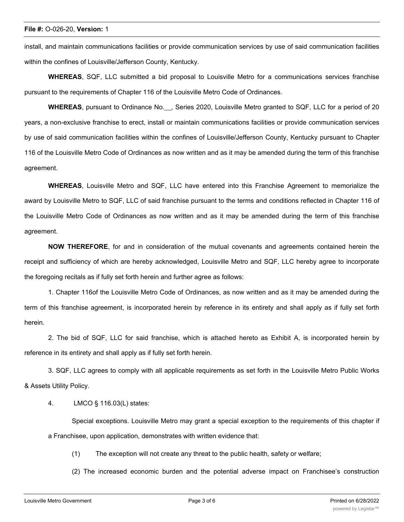install, and maintain communications facilities or provide communication services by use of said communication facilities within the confines of Louisville/Jefferson County, Kentucky.

**WHEREAS**, SQF, LLC submitted a bid proposal to Louisville Metro for a communications services franchise pursuant to the requirements of Chapter 116 of the Louisville Metro Code of Ordinances.

WHEREAS, pursuant to Ordinance No.<sub>,</sub> Series 2020, Louisville Metro granted to SQF, LLC for a period of 20 years, a non-exclusive franchise to erect, install or maintain communications facilities or provide communication services by use of said communication facilities within the confines of Louisville/Jefferson County, Kentucky pursuant to Chapter 116 of the Louisville Metro Code of Ordinances as now written and as it may be amended during the term of this franchise agreement.

**WHEREAS**, Louisville Metro and SQF, LLC have entered into this Franchise Agreement to memorialize the award by Louisville Metro to SQF, LLC of said franchise pursuant to the terms and conditions reflected in Chapter 116 of the Louisville Metro Code of Ordinances as now written and as it may be amended during the term of this franchise agreement.

**NOW THEREFORE**, for and in consideration of the mutual covenants and agreements contained herein the receipt and sufficiency of which are hereby acknowledged, Louisville Metro and SQF, LLC hereby agree to incorporate the foregoing recitals as if fully set forth herein and further agree as follows:

1. Chapter 116of the Louisville Metro Code of Ordinances, as now written and as it may be amended during the term of this franchise agreement, is incorporated herein by reference in its entirety and shall apply as if fully set forth herein.

2. The bid of SQF, LLC for said franchise, which is attached hereto as Exhibit A, is incorporated herein by reference in its entirety and shall apply as if fully set forth herein.

3. SQF, LLC agrees to comply with all applicable requirements as set forth in the Louisville Metro Public Works & Assets Utility Policy.

#### 4. LMCO § 116.03(L) states:

Special exceptions. Louisville Metro may grant a special exception to the requirements of this chapter if a Franchisee, upon application, demonstrates with written evidence that:

(1) The exception will not create any threat to the public health, safety or welfare;

(2) The increased economic burden and the potential adverse impact on Franchisee's construction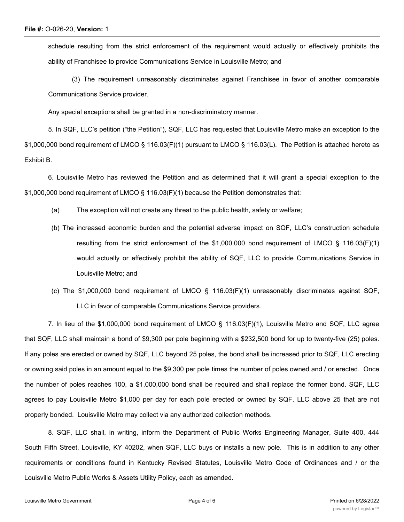schedule resulting from the strict enforcement of the requirement would actually or effectively prohibits the ability of Franchisee to provide Communications Service in Louisville Metro; and

(3) The requirement unreasonably discriminates against Franchisee in favor of another comparable Communications Service provider.

Any special exceptions shall be granted in a non-discriminatory manner.

5. In SQF, LLC's petition ("the Petition"), SQF, LLC has requested that Louisville Metro make an exception to the \$1,000,000 bond requirement of LMCO § 116.03(F)(1) pursuant to LMCO § 116.03(L). The Petition is attached hereto as Exhibit B.

6. Louisville Metro has reviewed the Petition and as determined that it will grant a special exception to the \$1,000,000 bond requirement of LMCO § 116.03(F)(1) because the Petition demonstrates that:

(a) The exception will not create any threat to the public health, safety or welfare;

- (b) The increased economic burden and the potential adverse impact on SQF, LLC's construction schedule resulting from the strict enforcement of the \$1,000,000 bond requirement of LMCO § 116.03(F)(1) would actually or effectively prohibit the ability of SQF, LLC to provide Communications Service in Louisville Metro; and
- (c) The \$1,000,000 bond requirement of LMCO § 116.03(F)(1) unreasonably discriminates against SQF, LLC in favor of comparable Communications Service providers.

7. In lieu of the \$1,000,000 bond requirement of LMCO § 116.03(F)(1), Louisville Metro and SQF, LLC agree that SQF, LLC shall maintain a bond of \$9,300 per pole beginning with a \$232,500 bond for up to twenty-five (25) poles. If any poles are erected or owned by SQF, LLC beyond 25 poles, the bond shall be increased prior to SQF, LLC erecting or owning said poles in an amount equal to the \$9,300 per pole times the number of poles owned and / or erected. Once the number of poles reaches 100, a \$1,000,000 bond shall be required and shall replace the former bond. SQF, LLC agrees to pay Louisville Metro \$1,000 per day for each pole erected or owned by SQF, LLC above 25 that are not properly bonded. Louisville Metro may collect via any authorized collection methods.

8. SQF, LLC shall, in writing, inform the Department of Public Works Engineering Manager, Suite 400, 444 South Fifth Street, Louisville, KY 40202, when SQF, LLC buys or installs a new pole. This is in addition to any other requirements or conditions found in Kentucky Revised Statutes, Louisville Metro Code of Ordinances and / or the Louisville Metro Public Works & Assets Utility Policy, each as amended.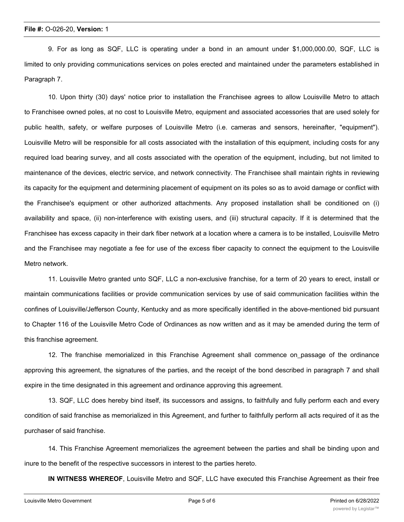9. For as long as SQF, LLC is operating under a bond in an amount under \$1,000,000.00, SQF, LLC is limited to only providing communications services on poles erected and maintained under the parameters established in Paragraph 7.

10. Upon thirty (30) days' notice prior to installation the Franchisee agrees to allow Louisville Metro to attach to Franchisee owned poles, at no cost to Louisville Metro, equipment and associated accessories that are used solely for public health, safety, or welfare purposes of Louisville Metro (i.e. cameras and sensors, hereinafter, "equipment"). Louisville Metro will be responsible for all costs associated with the installation of this equipment, including costs for any required load bearing survey, and all costs associated with the operation of the equipment, including, but not limited to maintenance of the devices, electric service, and network connectivity. The Franchisee shall maintain rights in reviewing its capacity for the equipment and determining placement of equipment on its poles so as to avoid damage or conflict with the Franchisee's equipment or other authorized attachments. Any proposed installation shall be conditioned on (i) availability and space, (ii) non-interference with existing users, and (iii) structural capacity. If it is determined that the Franchisee has excess capacity in their dark fiber network at a location where a camera is to be installed, Louisville Metro and the Franchisee may negotiate a fee for use of the excess fiber capacity to connect the equipment to the Louisville Metro network.

11. Louisville Metro granted unto SQF, LLC a non-exclusive franchise, for a term of 20 years to erect, install or maintain communications facilities or provide communication services by use of said communication facilities within the confines of Louisville/Jefferson County, Kentucky and as more specifically identified in the above-mentioned bid pursuant to Chapter 116 of the Louisville Metro Code of Ordinances as now written and as it may be amended during the term of this franchise agreement.

12. The franchise memorialized in this Franchise Agreement shall commence on passage of the ordinance approving this agreement, the signatures of the parties, and the receipt of the bond described in paragraph 7 and shall expire in the time designated in this agreement and ordinance approving this agreement.

13. SQF, LLC does hereby bind itself, its successors and assigns, to faithfully and fully perform each and every condition of said franchise as memorialized in this Agreement, and further to faithfully perform all acts required of it as the purchaser of said franchise.

14. This Franchise Agreement memorializes the agreement between the parties and shall be binding upon and inure to the benefit of the respective successors in interest to the parties hereto.

**IN WITNESS WHEREOF**, Louisville Metro and SQF, LLC have executed this Franchise Agreement as their free